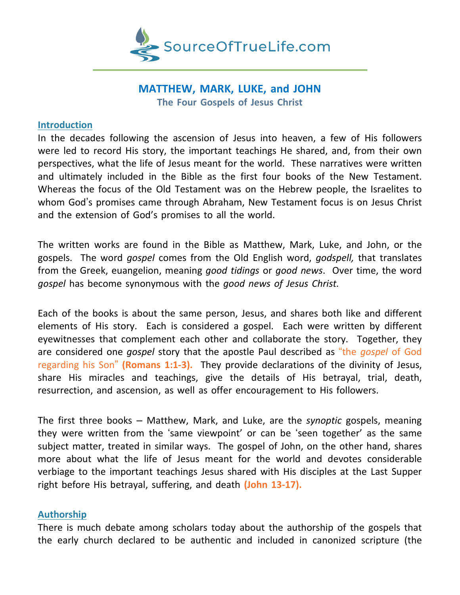

# **MATTHEW, MARK, LUKE, and JOHN The Four Gospels of Jesus Christ**

#### **Introduction**

In the decades following the ascension of Jesus into heaven, a few of His followers were led to record His story, the important teachings He shared, and, from their own perspectives, what the life of Jesus meant for the world. These narratives were written and ultimately included in the Bible as the first four books of the New Testament. Whereas the focus of the Old Testament was on the Hebrew people, the Israelites to whom God's promises came through Abraham, New Testament focus is on Jesus Christ and the extension of God's promises to all the world.

The written works are found in the Bible as Matthew, Mark, Luke, and John, or the gospels. The word *gospel* comes from the Old English word, *godspell,* that translates from the Greek, euangelion, meaning *good tidings* or *good news*. Over time, the word *gospel* has become synonymous with the *good news of Jesus Christ.*

Each of the books is about the same person, Jesus, and shares both like and different elements of His story. Each is considered a gospel. Each were written by different eyewitnesses that complement each other and collaborate the story. Together, they are considered one *gospel* story that the apostle Paul described as "the *gospel* of God regarding his Son" **(Romans 1:1-3).** They provide declarations of the divinity of Jesus, share His miracles and teachings, give the details of His betrayal, trial, death, resurrection, and ascension, as well as offer encouragement to His followers.

The first three books – Matthew, Mark, and Luke, are the *synoptic* gospels, meaning they were written from the 'same viewpoint' or can be 'seen together' as the same subject matter, treated in similar ways. The gospel of John, on the other hand, shares more about what the life of Jesus meant for the world and devotes considerable verbiage to the important teachings Jesus shared with His disciples at the Last Supper right before His betrayal, suffering, and death **(John 13-17).**

#### **Authorship**

There is much debate among scholars today about the authorship of the gospels that the early church declared to be authentic and included in canonized scripture (the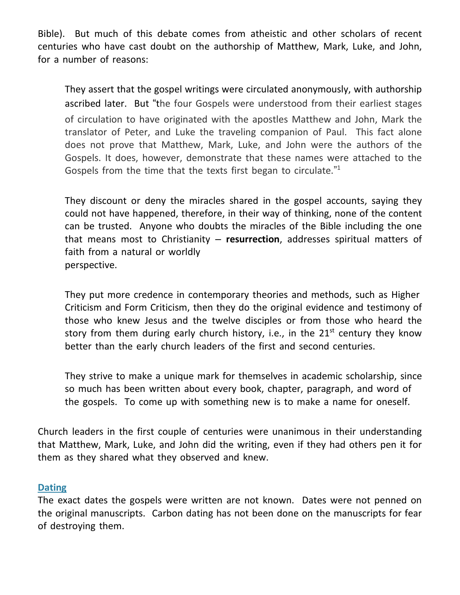Bible). But much of this debate comes from atheistic and other scholars of recent centuries who have cast doubt on the authorship of Matthew, Mark, Luke, and John, for a number of reasons:

They assert that the gospel writings were circulated anonymously, with authorship ascribed later. But "the four Gospels were understood from their earliest stages of circulation to have originated with the apostles Matthew and John, Mark the translator of Peter, and Luke the traveling companion of Paul. This fact alone does not prove that Matthew, Mark, Luke, and John were the authors of the Gospels. It does, however, demonstrate that these names were attached to the Gospels from the time that the texts first began to circulate."<sup>1</sup>

They discount or deny the miracles shared in the gospel accounts, saying they could not have happened, therefore, in their way of thinking, none of the content can be trusted. Anyone who doubts the miracles of the Bible including the one that means most to Christianity – **resurrection**, addresses spiritual matters of faith from a natural or worldly perspective.

They put more credence in contemporary theories and methods, such as Higher Criticism and Form Criticism, then they do the original evidence and testimony of those who knew Jesus and the twelve disciples or from those who heard the story from them during early church history, i.e., in the  $21<sup>st</sup>$  century they know better than the early church leaders of the first and second centuries.

They strive to make a unique mark for themselves in academic scholarship, since so much has been written about every book, chapter, paragraph, and word of the gospels. To come up with something new is to make a name for oneself.

Church leaders in the first couple of centuries were unanimous in their understanding that Matthew, Mark, Luke, and John did the writing, even if they had others pen it for them as they shared what they observed and knew.

#### **Dating**

The exact dates the gospels were written are not known. Dates were not penned on the original manuscripts. Carbon dating has not been done on the manuscripts for fear of destroying them.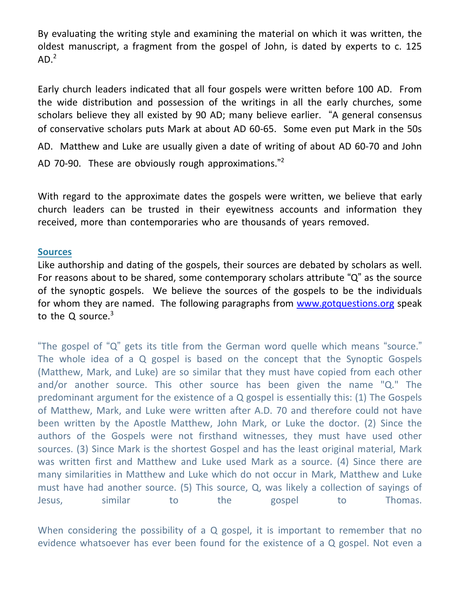By evaluating the writing style and examining the material on which it was written, the oldest manuscript, a fragment from the gospel of John, is dated by experts to c. 125  $AD.<sup>2</sup>$ 

Early church leaders indicated that all four gospels were written before 100 AD. From the wide distribution and possession of the writings in all the early churches, some scholars believe they all existed by 90 AD; many believe earlier. "A general consensus of conservative scholars puts Mark at about AD 60-65. Some even put Mark in the 50s AD. Matthew and Luke are usually given a date of writing of about AD 60-70 and John AD 70-90. These are obviously rough approximations."<sup>2</sup>

With regard to the approximate dates the gospels were written, we believe that early church leaders can be trusted in their eyewitness accounts and information they received, more than contemporaries who are thousands of years removed.

#### **Sources**

Like authorship and dating of the gospels, their sources are debated by scholars as well. For reasons about to be shared, some contemporary scholars attribute "Q" as the source of the synoptic gospels. We believe the sources of the gospels to be the individuals for whom they are named. The following paragraphs from [www.gotquestions.org](http://www.gotquestions.org/) speak to the Q source. $3$ 

"The gospel of "Q" gets its title from the German word quelle which means "source." The whole idea of a Q gospel is based on the concept that the Synoptic Gospels (Matthew, Mark, and Luke) are so similar that they must have copied from each other and/or another source. This other source has been given the name "Q." The predominant argument for the existence of a Q gospel is essentially this: (1) The Gospels of Matthew, Mark, and Luke were written after A.D. 70 and therefore could not have been written by the Apostle Matthew, John Mark, or Luke the doctor. (2) Since the authors of the Gospels were not firsthand witnesses, they must have used other sources. (3) Since Mark is the shortest Gospel and has the least original material, Mark was written first and Matthew and Luke used Mark as a source. (4) Since there are many similarities in Matthew and Luke which do not occur in Mark, Matthew and Luke must have had another source. (5) This source, Q, was likely a collection of sayings of Jesus, similar to the gospel to Thomas.

When considering the possibility of a Q gospel, it is important to remember that no evidence whatsoever has ever been found for the existence of a Q gospel. Not even a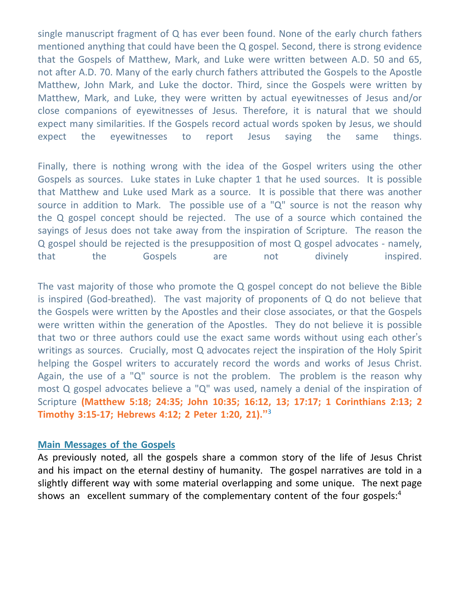single manuscript fragment of Q has ever been found. None of the early church fathers mentioned anything that could have been the Q gospel. Second, there is strong evidence that the Gospels of Matthew, Mark, and Luke were written between A.D. 50 and 65, not after A.D. 70. Many of the early church fathers attributed the Gospels to the Apostle Matthew, John Mark, and Luke the doctor. Third, since the Gospels were written by Matthew, Mark, and Luke, they were written by actual eyewitnesses of Jesus and/or close companions of eyewitnesses of Jesus. Therefore, it is natural that we should expect many similarities. If the Gospels record actual words spoken by Jesus, we should expect the eyewitnesses to report Jesus saying the same things.

Finally, there is nothing wrong with the idea of the Gospel writers using the other Gospels as sources. Luke states in Luke chapter 1 that he used sources. It is possible that Matthew and Luke used Mark as a source. It is possible that there was another source in addition to Mark. The possible use of a "Q" source is not the reason why the Q gospel concept should be rejected. The use of a source which contained the sayings of Jesus does not take away from the inspiration of Scripture. The reason the Q gospel should be rejected is the presupposition of most Q gospel advocates - namely, that the Gospels are not divinely inspired.

The vast majority of those who promote the Q gospel concept do not believe the Bible is inspired (God-breathed). The vast majority of proponents of Q do not believe that the Gospels were written by the Apostles and their close associates, or that the Gospels were written within the generation of the Apostles. They do not believe it is possible that two or three authors could use the exact same words without using each other's writings as sources. Crucially, most Q advocates reject the inspiration of the Holy Spirit helping the Gospel writers to accurately record the words and works of Jesus Christ. Again, the use of a "Q" source is not the problem. The problem is the reason why most Q gospel advocates believe a "Q" was used, namely a denial of the inspiration of Scripture **(Matthew 5:18; 24:35; John 10:35; 16:12, 13; 17:17; 1 Corinthians 2:13; 2 Timothy 3:15-17; Hebrews 4:12; 2 Peter 1:20, 21)."** 3

#### **Main Messages of the Gospels**

As previously noted, all the gospels share a common story of the life of Jesus Christ and his impact on the eternal destiny of humanity. The gospel narratives are told in a slightly different way with some material overlapping and some unique. The next page shows an excellent summary of the complementary content of the four gospels:<sup>4</sup>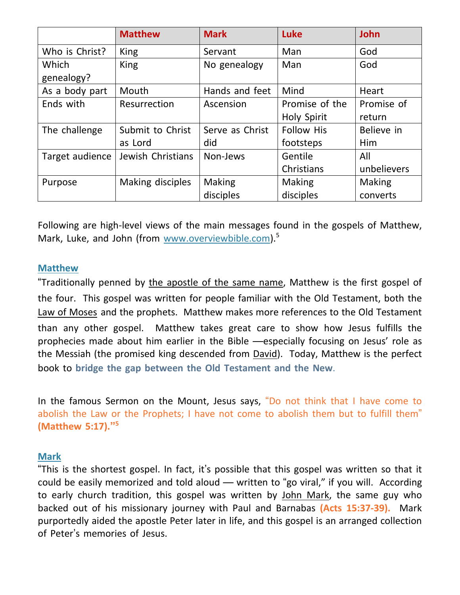|                     | <b>Matthew</b>    | <b>Mark</b>     | Luke               | <b>John</b> |
|---------------------|-------------------|-----------------|--------------------|-------------|
| Who is Christ?      | <b>King</b>       | Servant         | Man                | God         |
| Which<br>genealogy? | King              | No genealogy    | Man                | God         |
| As a body part      | Mouth             | Hands and feet  | Mind               | Heart       |
| Ends with           | Resurrection      | Ascension       | Promise of the     | Promise of  |
|                     |                   |                 | <b>Holy Spirit</b> | return      |
| The challenge       | Submit to Christ  | Serve as Christ | <b>Follow His</b>  | Believe in  |
|                     | as Lord           | did             | footsteps          | <b>Him</b>  |
| Target audience     | Jewish Christians | Non-Jews        | Gentile            | All         |
|                     |                   |                 | Christians         | unbelievers |
| Purpose             | Making disciples  | Making          | <b>Making</b>      | Making      |
|                     |                   | disciples       | disciples          | converts    |

Following are high-level views of the main messages found in the gospels of Matthew, Mark, Luke, and John (from [www.overviewbible.com\)](http://www.overviewbible.com/).<sup>5</sup>

#### **Matthew**

"Traditionally penned by the [apostle](https://overviewbible.com/matthew-the-apostle/) of the same name, Matthew is the first gospel of the four. This gospel was written for people familiar with the Old Testament, both the Law of Moses and the prophets. Matthew makes more references to the Old Testament than any other gospel. Matthew takes great care to show how Jesus fulfills the prophecies made about him earlier in the Bible —especially focusing on Jesus' role as the Messiah (the promised king descended from David). Today, Matthew is the perfect book to **bridge the gap between the Old Testament and the New**.

In the famous Sermon on the Mount, Jesus says, "Do not think that I have come to abolish the Law or the Prophets; I have not come to abolish them but to fulfill them" **(Matthew 5:17)." 5**

#### **Mark**

"This is the shortest gospel. In fact, it's possible that this gospel was written so that it could be easily memorized and told aloud — written to "go viral," if you will. According to early church tradition, this gospel was written by John Mark, the same guy who backed out of his missionary journey with Paul and Barnabas **(Acts 15:37-39).** Mark purportedly aided the apostle Peter later in life, and this gospel is an arranged collection of Peter's memories of Jesus.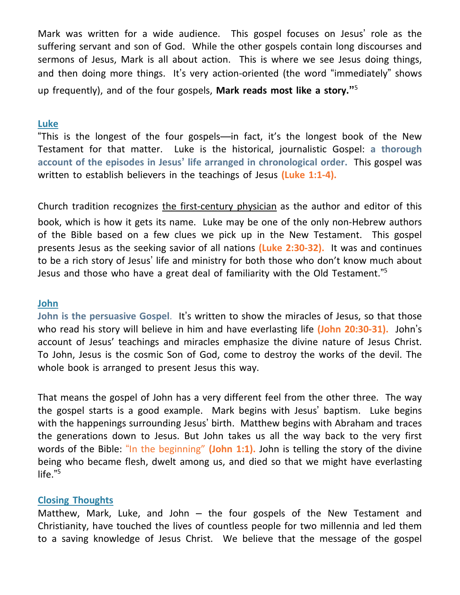Mark was written for a wide audience. This gospel focuses on Jesus' role as the suffering servant and son of God. While the other gospels contain long discourses and sermons of Jesus, Mark is all about action. This is where we see Jesus doing things, and then doing more things. It's very action-oriented (the word "immediately" shows up frequently), and of the four gospels, **Mark reads most like a story."** 5

#### **Luke**

"This is the longest of the four gospels—in fact, it's the longest book of the New Testament for that matter. Luke is the historical, journalistic Gospel: **a thorough account of the episodes in Jesus' life arranged in chronological order.** This gospel was written to establish believers in the teachings of Jesus **(Luke 1:1-4).**

Church tradition recognizes the first-century physician as the author and editor of this book, which is how it gets its name. Luke may be one of the only non-Hebrew authors of the Bible based on a few clues we pick up in the New Testament. This gospel presents Jesus as the seeking savior of all nations **(Luke 2:30-32).** It was and continues to be a rich story of Jesus' life and ministry for both those who don't know much about Jesus and those who have a great deal of familiarity with the Old Testament."<sup>5</sup>

#### **John**

**John is the persuasive Gospel**. It's written to show the miracles of Jesus, so that those who read his story will believe in him and have everlasting life **(John 20:30-31).** John's account of Jesus' teachings and miracles emphasize the divine nature of Jesus Christ. To John, Jesus is the cosmic Son of God, come to destroy the works of the devil. The whole book is arranged to present Jesus this way.

That means the gospel of John has a very different feel from the other three. The way the gospel starts is a good example. Mark begins with Jesus' baptism. Luke begins with the happenings surrounding Jesus' birth. Matthew begins with Abraham and traces the generations down to Jesus. But John takes us all the way back to the very first words of the Bible: "In the beginning" **(John 1:1).** John is telling the story of the divine being who became flesh, dwelt among us, and died so that we might have everlasting life." 5

#### **Closing Thoughts**

Matthew, Mark, Luke, and John  $-$  the four gospels of the New Testament and Christianity, have touched the lives of countless people for two millennia and led them to a saving knowledge of Jesus Christ. We believe that the message of the gospel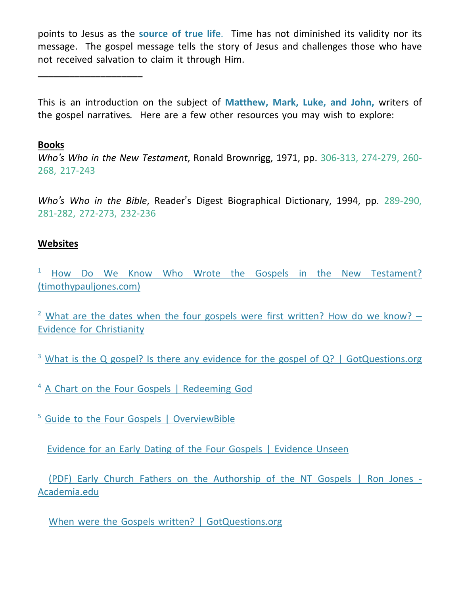points to Jesus as the **source of true life**. Time has not diminished its validity nor its message. The gospel message tells the story of Jesus and challenges those who have not received salvation to claim it through Him.

This is an introduction on the subject of **Matthew, Mark, Luke, and John,** writers of the gospel narratives*.* Here are a few other resources you may wish to explore:

### **Books**

**\_\_\_\_\_\_\_\_\_\_\_\_\_\_\_\_\_\_\_\_**

*Who's Who in the New Testament*, Ronald Brownrigg, 1971, pp. 306-313, 274-279, 260- 268, 217-243

*Who's Who in the Bible*, Reader's Digest Biographical Dictionary, 1994, pp. 289-290, 281-282, 272-273, 232-236

## **Websites**

<sup>1</sup> How Do We Know Who Wrote the Gospels in the New [Testament?](https://www.timothypauljones.com/apologetics-how-do-we-know-who-wrote-the-gospels-2/) [\(timothypauljones.com\)](https://www.timothypauljones.com/apologetics-how-do-we-know-who-wrote-the-gospels-2/)

<sup>2</sup> What are the dates when the four gospels were first [written?](https://evidenceforchristianity.org/what-are-the-dates-when-the-four-gospels-were-first-written-how-do-we-know/) How do we know?  $-$ Evidence for [Christianity](https://evidenceforchristianity.org/what-are-the-dates-when-the-four-gospels-were-first-written-how-do-we-know/)

<sup>3</sup> What is the Q gospel? Is there any evidence for the gospel of  $Q$ ? | [GotQuestions.org](https://www.gotquestions.org/Q-Gospel.html)

<sup>4</sup> A Chart on the Four Gospels | [Redeeming](https://redeeminggod.com/sermons/miscellaneous/a-chart-on-the-four-gospels/) God

<sup>5</sup> Guide to the Four Gospels | [OverviewBible](https://overviewbible.com/four-gospels/)

[Evidence](https://www.evidenceunseen.com/theology/scripture/historicity-of-the-nt/evidence-for-an-early-dating-of-the-four-gospels/) for an Early Dating of the Four Gospels | Evidence Unseen

(PDF) Early Church Fathers on the [Authorship](https://www.academia.edu/9269890/Early_Church_Fathers_on_the_Authorship_of_the_NT_Gospels) of the NT Gospels | Ron Jones [-](https://www.academia.edu/9269890/Early_Church_Fathers_on_the_Authorship_of_the_NT_Gospels) [Academia.edu](https://www.academia.edu/9269890/Early_Church_Fathers_on_the_Authorship_of_the_NT_Gospels)

When were the Gospels written? | [GotQuestions.org](https://www.gotquestions.org/when-Gospels-written.html)